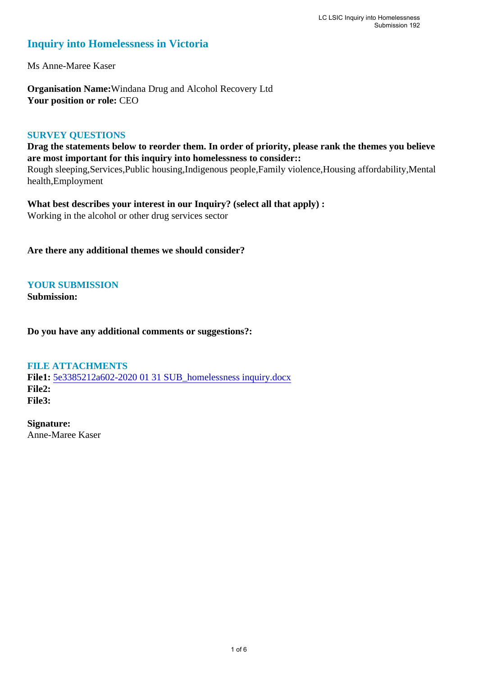# **Inquiry into Homelessness in Victoria**

Ms Anne-Maree Kaser

**Organisation Name:**Windana Drug and Alcohol Recovery Ltd **Your position or role:** CEO

## **SURVEY QUESTIONS**

**Drag the statements below to reorder them. In order of priority, please rank the themes you believe are most important for this inquiry into homelessness to consider::**  Rough sleeping,Services,Public housing,Indigenous people,Family violence,Housing affordability,Mental health,Employment

**What best describes your interest in our Inquiry? (select all that apply) :**  Working in the alcohol or other drug services sector

**Are there any additional themes we should consider?**

**YOUR SUBMISSION**

**Submission:** 

**Do you have any additional comments or suggestions?:** 

## **FILE ATTACHMENTS**

**File1:** [5e3385212a602-2020 01 31 SUB\\_homelessness inquiry.docx](https://parliament.vic.gov.au/component/rsform/submission-view-file/ba1b594e1d6cc72504e609b066319a75/adf4bd1b62956c2e3375ea5f2694e1d6?Itemid=527) **File2: File3:** 

**Signature:** Anne-Maree Kaser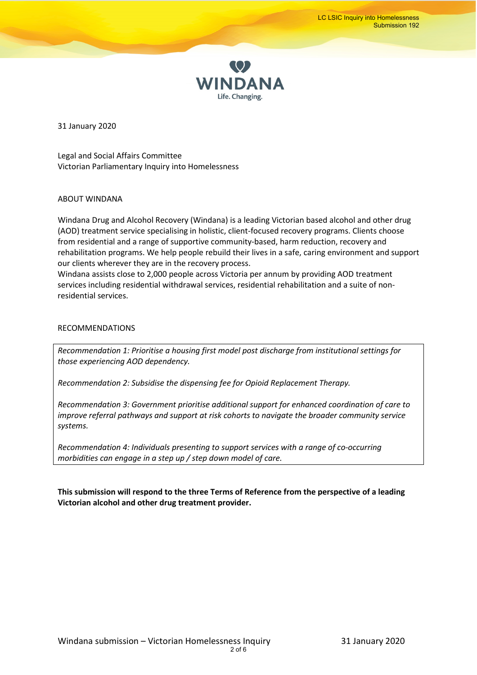

31 January 2020

Legal and Social Affairs Committee Victorian Parliamentary Inquiry into Homelessness

#### ABOUT WINDANA

Windana Drug and Alcohol Recovery (Windana) is a leading Victorian based alcohol and other drug (AOD) treatment service specialising in holistic, client-focused recovery programs. Clients choose from residential and a range of supportive community-based, harm reduction, recovery and rehabilitation programs. We help people rebuild their lives in a safe, caring environment and support our clients wherever they are in the recovery process.

Windana assists close to 2,000 people across Victoria per annum by providing AOD treatment services including residential withdrawal services, residential rehabilitation and a suite of nonresidential services.

#### RECOMMENDATIONS

*Recommendation 1: Prioritise a housing first model post discharge from institutional settings for those experiencing AOD dependency.*

*Recommendation 2: Subsidise the dispensing fee for Opioid Replacement Therapy.*

*Recommendation 3: Government prioritise additional support for enhanced coordination of care to improve referral pathways and support at risk cohorts to navigate the broader community service systems.*

*Recommendation 4: Individuals presenting to support services with a range of co-occurring morbidities can engage in a step up / step down model of care.*

**This submission will respond to the three Terms of Reference from the perspective of a leading Victorian alcohol and other drug treatment provider.**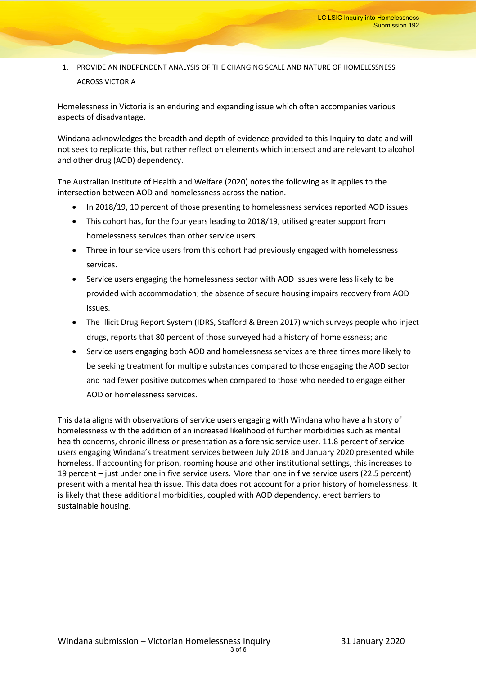## 1. PROVIDE AN INDEPENDENT ANALYSIS OF THE CHANGING SCALE AND NATURE OF HOMELESSNESS ACROSS VICTORIA

Homelessness in Victoria is an enduring and expanding issue which often accompanies various aspects of disadvantage.

Windana acknowledges the breadth and depth of evidence provided to this Inquiry to date and will not seek to replicate this, but rather reflect on elements which intersect and are relevant to alcohol and other drug (AOD) dependency.

The Australian Institute of Health and Welfare (2020) notes the following as it applies to the intersection between AOD and homelessness across the nation.

- In 2018/19, 10 percent of those presenting to homelessness services reported AOD issues.
- This cohort has, for the four years leading to 2018/19, utilised greater support from homelessness services than other service users.
- Three in four service users from this cohort had previously engaged with homelessness services.
- Service users engaging the homelessness sector with AOD issues were less likely to be provided with accommodation; the absence of secure housing impairs recovery from AOD issues.
- The Illicit Drug Report System (IDRS, Stafford & Breen 2017) which surveys people who inject drugs, reports that 80 percent of those surveyed had a history of homelessness; and
- Service users engaging both AOD and homelessness services are three times more likely to be seeking treatment for multiple substances compared to those engaging the AOD sector and had fewer positive outcomes when compared to those who needed to engage either AOD or homelessness services.

This data aligns with observations of service users engaging with Windana who have a history of homelessness with the addition of an increased likelihood of further morbidities such as mental health concerns, chronic illness or presentation as a forensic service user. 11.8 percent of service users engaging Windana's treatment services between July 2018 and January 2020 presented while homeless. If accounting for prison, rooming house and other institutional settings, this increases to 19 percent – just under one in five service users. More than one in five service users (22.5 percent) present with a mental health issue. This data does not account for a prior history of homelessness. It is likely that these additional morbidities, coupled with AOD dependency, erect barriers to sustainable housing.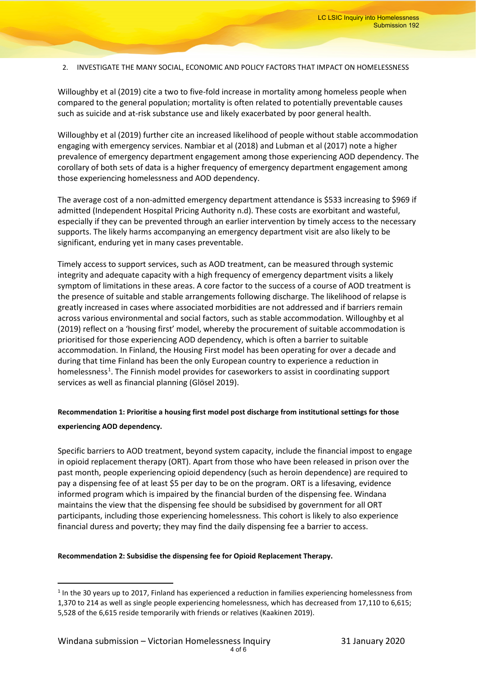2. INVESTIGATE THE MANY SOCIAL, ECONOMIC AND POLICY FACTORS THAT IMPACT ON HOMELESSNESS

Willoughby et al (2019) cite a two to five-fold increase in mortality among homeless people when compared to the general population; mortality is often related to potentially preventable causes such as suicide and at-risk substance use and likely exacerbated by poor general health.

Willoughby et al (2019) further cite an increased likelihood of people without stable accommodation engaging with emergency services. Nambiar et al (2018) and Lubman et al (2017) note a higher prevalence of emergency department engagement among those experiencing AOD dependency. The corollary of both sets of data is a higher frequency of emergency department engagement among those experiencing homelessness and AOD dependency.

The average cost of a non-admitted emergency department attendance is \$533 increasing to \$969 if admitted (Independent Hospital Pricing Authority n.d). These costs are exorbitant and wasteful, especially if they can be prevented through an earlier intervention by timely access to the necessary supports. The likely harms accompanying an emergency department visit are also likely to be significant, enduring yet in many cases preventable.

Timely access to support services, such as AOD treatment, can be measured through systemic integrity and adequate capacity with a high frequency of emergency department visits a likely symptom of limitations in these areas. A core factor to the success of a course of AOD treatment is the presence of suitable and stable arrangements following discharge. The likelihood of relapse is greatly increased in cases where associated morbidities are not addressed and if barriers remain across various environmental and social factors, such as stable accommodation. Willoughby et al (2019) reflect on a 'housing first' model, whereby the procurement of suitable accommodation is prioritised for those experiencing AOD dependency, which is often a barrier to suitable accommodation. In Finland, the Housing First model has been operating for over a decade and during that time Finland has been the only European country to experience a reduction in homelessness<sup>[1](#page-3-0)</sup>. The Finnish model provides for caseworkers to assist in coordinating support services as well as financial planning (Glösel 2019).

## **Recommendation 1: Prioritise a housing first model post discharge from institutional settings for those experiencing AOD dependency.**

Specific barriers to AOD treatment, beyond system capacity, include the financial impost to engage in opioid replacement therapy (ORT). Apart from those who have been released in prison over the past month, people experiencing opioid dependency (such as heroin dependence) are required to pay a dispensing fee of at least \$5 per day to be on the program. ORT is a lifesaving, evidence informed program which is impaired by the financial burden of the dispensing fee. Windana maintains the view that the dispensing fee should be subsidised by government for all ORT participants, including those experiencing homelessness. This cohort is likely to also experience financial duress and poverty; they may find the daily dispensing fee a barrier to access.

#### **Recommendation 2: Subsidise the dispensing fee for Opioid Replacement Therapy.**

<span id="page-3-0"></span><sup>&</sup>lt;sup>1</sup> In the 30 years up to 2017, Finland has experienced a reduction in families experiencing homelessness from 1,370 to 214 as well as single people experiencing homelessness, which has decreased from 17,110 to 6,615; 5,528 of the 6,615 reside temporarily with friends or relatives (Kaakinen 2019).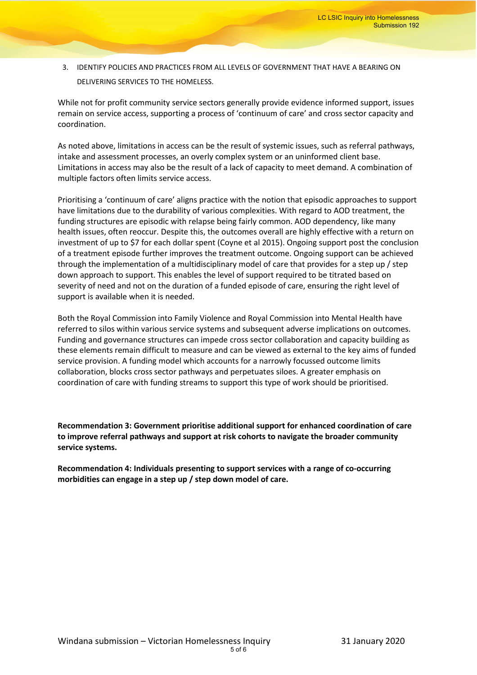3. IDENTIFY POLICIES AND PRACTICES FROM ALL LEVELS OF GOVERNMENT THAT HAVE A BEARING ON DELIVERING SERVICES TO THE HOMELESS.

While not for profit community service sectors generally provide evidence informed support, issues remain on service access, supporting a process of 'continuum of care' and cross sector capacity and coordination.

As noted above, limitations in access can be the result of systemic issues, such as referral pathways, intake and assessment processes, an overly complex system or an uninformed client base. Limitations in access may also be the result of a lack of capacity to meet demand. A combination of multiple factors often limits service access.

Prioritising a 'continuum of care' aligns practice with the notion that episodic approaches to support have limitations due to the durability of various complexities. With regard to AOD treatment, the funding structures are episodic with relapse being fairly common. AOD dependency, like many health issues, often reoccur. Despite this, the outcomes overall are highly effective with a return on investment of up to \$7 for each dollar spent (Coyne et al 2015). Ongoing support post the conclusion of a treatment episode further improves the treatment outcome. Ongoing support can be achieved through the implementation of a multidisciplinary model of care that provides for a step up / step down approach to support. This enables the level of support required to be titrated based on severity of need and not on the duration of a funded episode of care, ensuring the right level of support is available when it is needed.

Both the Royal Commission into Family Violence and Royal Commission into Mental Health have referred to silos within various service systems and subsequent adverse implications on outcomes. Funding and governance structures can impede cross sector collaboration and capacity building as these elements remain difficult to measure and can be viewed as external to the key aims of funded service provision. A funding model which accounts for a narrowly focussed outcome limits collaboration, blocks cross sector pathways and perpetuates siloes. A greater emphasis on coordination of care with funding streams to support this type of work should be prioritised.

**Recommendation 3: Government prioritise additional support for enhanced coordination of care to improve referral pathways and support at risk cohorts to navigate the broader community service systems.**

**Recommendation 4: Individuals presenting to support services with a range of co-occurring morbidities can engage in a step up / step down model of care.**